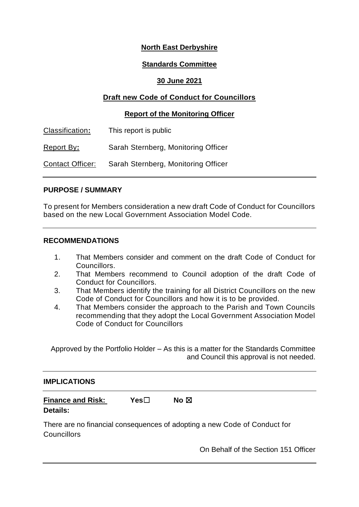# **North East Derbyshire**

### **Standards Committee**

### **30 June 2021**

# **Draft new Code of Conduct for Councillors**

#### **Report of the Monitoring Officer**

| Classification:  | This report is public               |
|------------------|-------------------------------------|
| Report By:       | Sarah Sternberg, Monitoring Officer |
| Contact Officer: | Sarah Sternberg, Monitoring Officer |

#### **PURPOSE / SUMMARY**

To present for Members consideration a new draft Code of Conduct for Councillors based on the new Local Government Association Model Code.

### **RECOMMENDATIONS**

- 1. That Members consider and comment on the draft Code of Conduct for Councillors.
- 2. That Members recommend to Council adoption of the draft Code of Conduct for Councillors.
- 3. That Members identify the training for all District Councillors on the new Code of Conduct for Councillors and how it is to be provided.
- 4. That Members consider the approach to the Parish and Town Councils recommending that they adopt the Local Government Association Model Code of Conduct for Councillors

Approved by the Portfolio Holder – As this is a matter for the Standards Committee and Council this approval is not needed.

## **IMPLICATIONS**

| <b>Finance and Risk:</b> | Yes⊟ | No $\boxtimes$ |
|--------------------------|------|----------------|
| <b>Details:</b>          |      |                |

There are no financial consequences of adopting a new Code of Conduct for **Councillors** 

On Behalf of the Section 151 Officer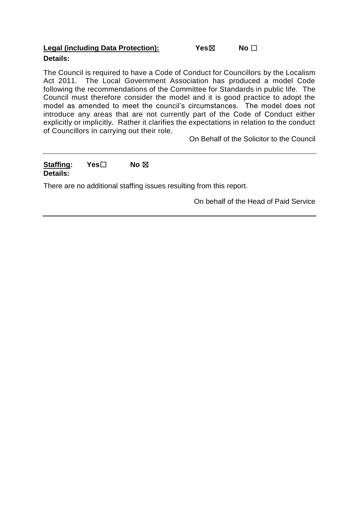### **Legal (including Data Protection):** Yes⊠ No □ **Details:**

The Council is required to have a Code of Conduct for Councillors by the Localism Act 2011. The Local Government Association has produced a model Code following the recommendations of the Committee for Standards in public life. The Council must therefore consider the model and it is good practice to adopt the model as amended to meet the council's circumstances. The model does not introduce any areas that are not currently part of the Code of Conduct either explicitly or implicitly. Rather it clarifies the expectations in relation to the conduct of Councillors in carrying out their role.

On Behalf of the Solicitor to the Council

## **Staffing: Yes**☐ **No** ☒ **Details:**

There are no additional staffing issues resulting from this report.

On behalf of the Head of Paid Service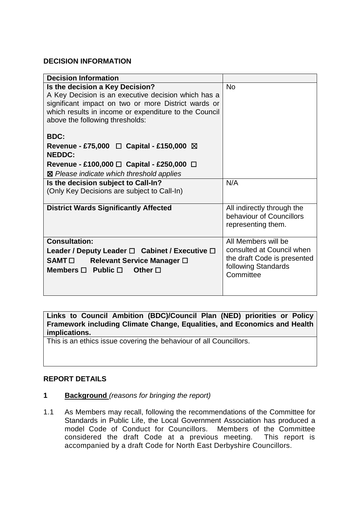## **DECISION INFORMATION**

| <b>Decision Information</b>                                                                                                                                                                                                               |                                                                                              |
|-------------------------------------------------------------------------------------------------------------------------------------------------------------------------------------------------------------------------------------------|----------------------------------------------------------------------------------------------|
| Is the decision a Key Decision?<br>A Key Decision is an executive decision which has a<br>significant impact on two or more District wards or<br>which results in income or expenditure to the Council<br>above the following thresholds: | <b>No</b>                                                                                    |
| <b>BDC:</b>                                                                                                                                                                                                                               |                                                                                              |
| Revenue - £75,000 $\Box$ Capital - £150,000 $\boxtimes$<br><b>NEDDC:</b>                                                                                                                                                                  |                                                                                              |
| Revenue - £100,000 $\Box$ Capital - £250,000 $\Box$                                                                                                                                                                                       |                                                                                              |
| ⊠ Please indicate which threshold applies                                                                                                                                                                                                 |                                                                                              |
| Is the decision subject to Call-In?<br>(Only Key Decisions are subject to Call-In)                                                                                                                                                        | N/A                                                                                          |
| <b>District Wards Significantly Affected</b>                                                                                                                                                                                              | All indirectly through the<br>behaviour of Councillors<br>representing them.                 |
| <b>Consultation:</b>                                                                                                                                                                                                                      | All Members will be                                                                          |
| Leader / Deputy Leader $\Box$ Cabinet / Executive $\Box$<br><b>SAMT</b> □<br>Relevant Service Manager □<br>Members $\Box$ Public $\Box$<br>Other $\square$                                                                                | consulted at Council when<br>the draft Code is presented<br>following Standards<br>Committee |
|                                                                                                                                                                                                                                           |                                                                                              |

**Links to Council Ambition (BDC)/Council Plan (NED) priorities or Policy Framework including Climate Change, Equalities, and Economics and Health implications.**

This is an ethics issue covering the behaviour of all Councillors.

## **REPORT DETAILS**

- **1 Background** *(reasons for bringing the report)*
- 1.1 As Members may recall, following the recommendations of the Committee for Standards in Public Life, the Local Government Association has produced a model Code of Conduct for Councillors. Members of the Committee considered the draft Code at a previous meeting. This report is accompanied by a draft Code for North East Derbyshire Councillors.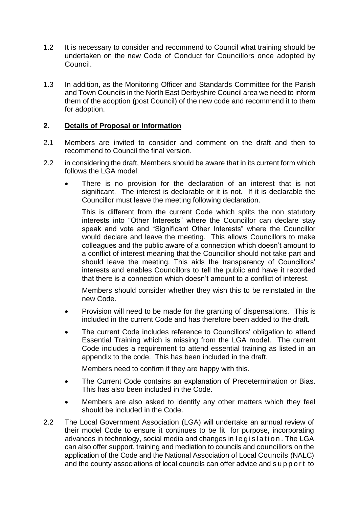- 1.2 It is necessary to consider and recommend to Council what training should be undertaken on the new Code of Conduct for Councillors once adopted by Council.
- 1.3 In addition, as the Monitoring Officer and Standards Committee for the Parish and Town Councils in the North East Derbyshire Council area we need to inform them of the adoption (post Council) of the new code and recommend it to them for adoption.

#### **2. Details of Proposal or Information**

- 2.1 Members are invited to consider and comment on the draft and then to recommend to Council the final version.
- 2.2 in considering the draft, Members should be aware that in its current form which follows the LGA model:
	- There is no provision for the declaration of an interest that is not significant. The interest is declarable or it is not. If it is declarable the Councillor must leave the meeting following declaration.

This is different from the current Code which splits the non statutory interests into "Other Interests" where the Councillor can declare stay speak and vote and "Significant Other Interests" where the Councillor would declare and leave the meeting. This allows Councillors to make colleagues and the public aware of a connection which doesn't amount to a conflict of interest meaning that the Councillor should not take part and should leave the meeting. This aids the transparency of Councillors' interests and enables Councillors to tell the public and have it recorded that there is a connection which doesn't amount to a conflict of interest.

Members should consider whether they wish this to be reinstated in the new Code.

- Provision will need to be made for the granting of dispensations. This is included in the current Code and has therefore been added to the draft.
- The current Code includes reference to Councillors' obligation to attend Essential Training which is missing from the LGA model. The current Code includes a requirement to attend essential training as listed in an appendix to the code. This has been included in the draft.

Members need to confirm if they are happy with this.

- The Current Code contains an explanation of Predetermination or Bias. This has also been included in the Code.
- Members are also asked to identify any other matters which they feel should be included in the Code.
- 2.2 The Local Government Association (LGA) will undertake an annual review of their model Code to ensure it continues to be fit for purpose, incorporating advances in technology, social media and changes in  $leq$  is lation. The LGA can also offer support, training and mediation to councils and councillors on the application of the Code and the National Association of Local Councils (NALC) and the county associations of local councils can offer advice and s u p p o r t to